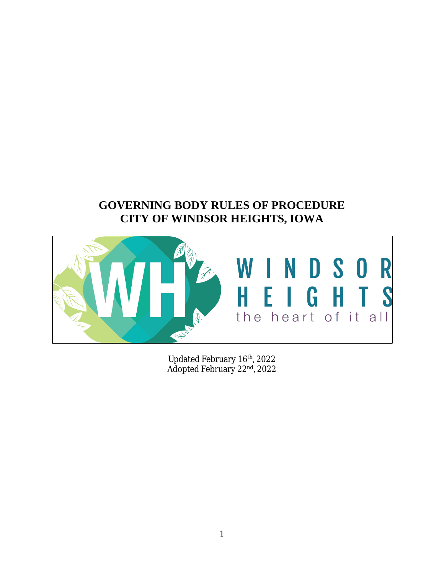# **GOVERNING BODY RULES OF PROCEDURE CITY OF WINDSOR HEIGHTS, IOWA**



Updated February 16th, 2022 Adopted February 22<sup>nd</sup>, 2022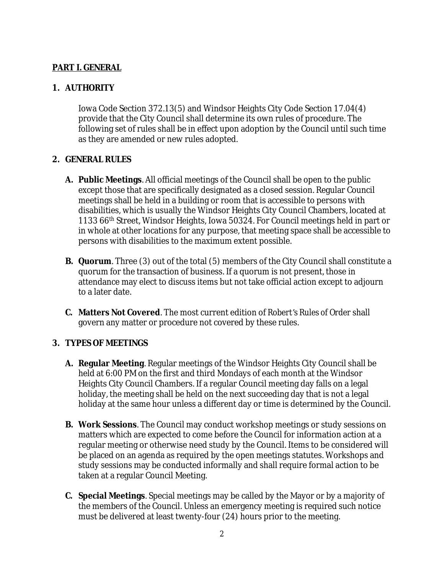# **PART I. GENERAL**

## **1. AUTHORITY**

Iowa Code Section 372.13(5) and Windsor Heights City Code Section 17.04(4) provide that the City Council shall determine its own rules of procedure. The following set of rules shall be in effect upon adoption by the Council until such time as they are amended or new rules adopted.

#### **2. GENERAL RULES**

- **A. Public Meetings**. All official meetings of the Council shall be open to the public except those that are specifically designated as a closed session. Regular Council meetings shall be held in a building or room that is accessible to persons with disabilities, which is usually the Windsor Heights City Council Chambers, located at 1133 66th Street, Windsor Heights, Iowa 50324. For Council meetings held in part or in whole at other locations for any purpose, that meeting space shall be accessible to persons with disabilities to the maximum extent possible.
- **B. Quorum**. Three (3) out of the total (5) members of the City Council shall constitute a quorum for the transaction of business. If a quorum is not present, those in attendance may elect to discuss items but not take official action except to adjourn to a later date.
- **C. Matters Not Covered**. The most current edition of *Robert's Rules of Order* shall govern any matter or procedure not covered by these rules.

### **3. TYPES OF MEETINGS**

- **A. Regular Meeting**. Regular meetings of the Windsor Heights City Council shall be held at 6:00 PM on the first and third Mondays of each month at the Windsor Heights City Council Chambers. If a regular Council meeting day falls on a legal holiday, the meeting shall be held on the next succeeding day that is not a legal holiday at the same hour unless a different day or time is determined by the Council.
- **B. Work Sessions**. The Council may conduct workshop meetings or study sessions on matters which are expected to come before the Council for information action at a regular meeting or otherwise need study by the Council. Items to be considered will be placed on an agenda as required by the open meetings statutes. Workshops and study sessions may be conducted informally and shall require formal action to be taken at a regular Council Meeting.
- **C. Special Meetings**. Special meetings may be called by the Mayor or by a majority of the members of the Council. Unless an emergency meeting is required such notice must be delivered at least twenty-four (24) hours prior to the meeting.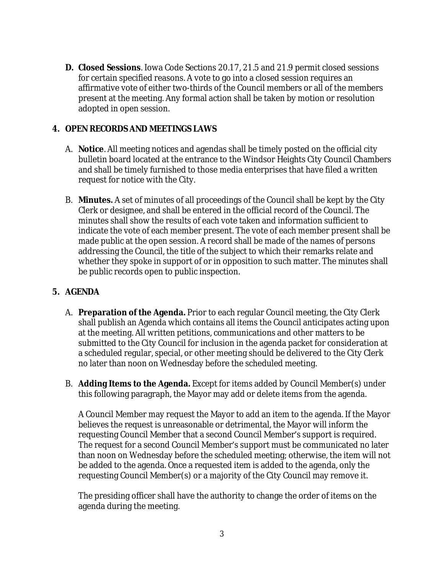**D. Closed Sessions**. Iowa Code Sections 20.17, 21.5 and 21.9 permit closed sessions for certain specified reasons. A vote to go into a closed session requires an affirmative vote of either two-thirds of the Council members or all of the members present at the meeting. Any formal action shall be taken by motion or resolution adopted in open session.

## **4. OPEN RECORDS AND MEETINGS LAWS**

- A. **Notice**. All meeting notices and agendas shall be timely posted on the official city bulletin board located at the entrance to the Windsor Heights City Council Chambers and shall be timely furnished to those media enterprises that have filed a written request for notice with the City.
- B. **Minutes.** A set of minutes of all proceedings of the Council shall be kept by the City Clerk or designee, and shall be entered in the official record of the Council. The minutes shall show the results of each vote taken and information sufficient to indicate the vote of each member present. The vote of each member present shall be made public at the open session. A record shall be made of the names of persons addressing the Council, the title of the subject to which their remarks relate and whether they spoke in support of or in opposition to such matter. The minutes shall be public records open to public inspection.

### **5. AGENDA**

- A. **Preparation of the Agenda.** Prior to each regular Council meeting, the City Clerk shall publish an Agenda which contains all items the Council anticipates acting upon at the meeting. All written petitions, communications and other matters to be submitted to the City Council for inclusion in the agenda packet for consideration at a scheduled regular, special, or other meeting should be delivered to the City Clerk no later than noon on Wednesday before the scheduled meeting.
- B. **Adding Items to the Agenda.** Except for items added by Council Member(s) under this following paragraph, the Mayor may add or delete items from the agenda.

A Council Member may request the Mayor to add an item to the agenda. If the Mayor believes the request is unreasonable or detrimental, the Mayor will inform the requesting Council Member that a second Council Member's support is required. The request for a second Council Member's support must be communicated no later than noon on Wednesday before the scheduled meeting; otherwise, the item will not be added to the agenda. Once a requested item is added to the agenda, only the requesting Council Member(s) or a majority of the City Council may remove it.

The presiding officer shall have the authority to change the order of items on the agenda during the meeting.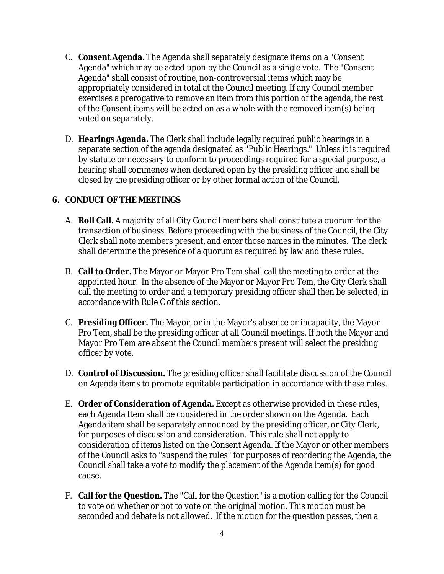- C. **Consent Agenda.** The Agenda shall separately designate items on a "Consent Agenda" which may be acted upon by the Council as a single vote. The "Consent Agenda" shall consist of routine, non-controversial items which may be appropriately considered in total at the Council meeting. If any Council member exercises a prerogative to remove an item from this portion of the agenda, the rest of the Consent items will be acted on as a whole with the removed item(s) being voted on separately.
- D. **Hearings Agenda.** The Clerk shall include legally required public hearings in a separate section of the agenda designated as "Public Hearings." Unless it is required by statute or necessary to conform to proceedings required for a special purpose, a hearing shall commence when declared open by the presiding officer and shall be closed by the presiding officer or by other formal action of the Council.

### **6. CONDUCT OF THE MEETINGS**

- A. **Roll Call.** A majority of all City Council members shall constitute a quorum for the transaction of business. Before proceeding with the business of the Council, the City Clerk shall note members present, and enter those names in the minutes. The clerk shall determine the presence of a quorum as required by law and these rules.
- B. **Call to Order.** The Mayor or Mayor Pro Tem shall call the meeting to order at the appointed hour. In the absence of the Mayor or Mayor Pro Tem, the City Clerk shall call the meeting to order and a temporary presiding officer shall then be selected, in accordance with Rule C of this section.
- C. **Presiding Officer.** The Mayor, or in the Mayor's absence or incapacity, the Mayor Pro Tem, shall be the presiding officer at all Council meetings. If both the Mayor and Mayor Pro Tem are absent the Council members present will select the presiding officer by vote.
- D. **Control of Discussion.** The presiding officer shall facilitate discussion of the Council on Agenda items to promote equitable participation in accordance with these rules.
- E. **Order of Consideration of Agenda.** Except as otherwise provided in these rules, each Agenda Item shall be considered in the order shown on the Agenda. Each Agenda item shall be separately announced by the presiding officer, or City Clerk, for purposes of discussion and consideration. This rule shall not apply to consideration of items listed on the Consent Agenda. If the Mayor or other members of the Council asks to "suspend the rules" for purposes of reordering the Agenda, the Council shall take a vote to modify the placement of the Agenda item(s) for good cause.
- F. **Call for the Question.** The "Call for the Question" is a motion calling for the Council to vote on whether or not to vote on the original motion. This motion must be seconded and debate is not allowed. If the motion for the question passes, then a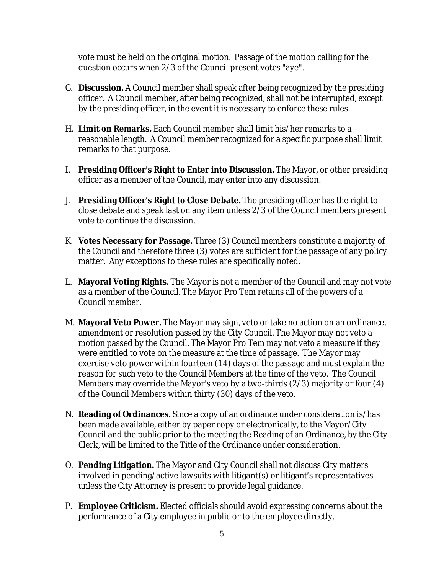vote must be held on the original motion. Passage of the motion calling for the question occurs when 2/3 of the Council present votes "aye".

- G. **Discussion.** A Council member shall speak after being recognized by the presiding officer. A Council member, after being recognized, shall not be interrupted, except by the presiding officer, in the event it is necessary to enforce these rules.
- H. **Limit on Remarks.** Each Council member shall limit his/her remarks to a reasonable length. A Council member recognized for a specific purpose shall limit remarks to that purpose.
- I. **Presiding Officer's Right to Enter into Discussion.** The Mayor, or other presiding officer as a member of the Council, may enter into any discussion.
- J. **Presiding Officer's Right to Close Debate.** The presiding officer has the right to close debate and speak last on any item unless 2/3 of the Council members present vote to continue the discussion.
- K. **Votes Necessary for Passage.** Three (3) Council members constitute a majority of the Council and therefore three (3) votes are sufficient for the passage of any policy matter. Any exceptions to these rules are specifically noted.
- L. **Mayoral Voting Rights.** The Mayor is not a member of the Council and may not vote as a member of the Council. The Mayor Pro Tem retains all of the powers of a Council member.
- M. **Mayoral Veto Power.** The Mayor may sign, veto or take no action on an ordinance, amendment or resolution passed by the City Council. The Mayor may not veto a motion passed by the Council. The Mayor Pro Tem may not veto a measure if they were entitled to vote on the measure at the time of passage. The Mayor may exercise veto power within fourteen (14) days of the passage and must explain the reason for such veto to the Council Members at the time of the veto. The Council Members may override the Mayor's veto by a two-thirds (2/3) majority or four (4) of the Council Members within thirty (30) days of the veto.
- N. **Reading of Ordinances.** Since a copy of an ordinance under consideration is/has been made available, either by paper copy or electronically, to the Mayor/City Council and the public prior to the meeting the Reading of an Ordinance, by the City Clerk, will be limited to the Title of the Ordinance under consideration.
- O. **Pending Litigation.** The Mayor and City Council shall not discuss City matters involved in pending/active lawsuits with litigant(s) or litigant's representatives unless the City Attorney is present to provide legal guidance.
- P. **Employee Criticism.** Elected officials should avoid expressing concerns about the performance of a City employee in public or to the employee directly.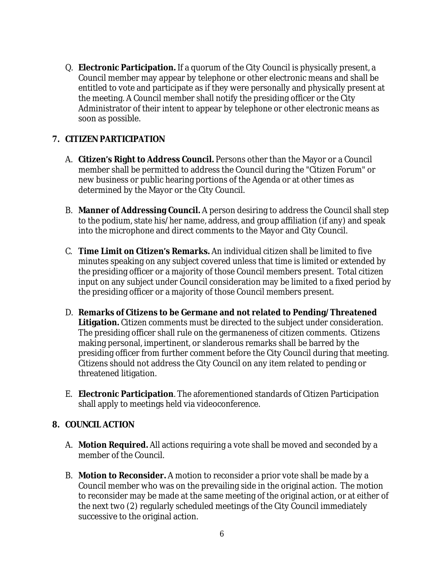Q. **Electronic Participation.** If a quorum of the City Council is physically present, a Council member may appear by telephone or other electronic means and shall be entitled to vote and participate as if they were personally and physically present at the meeting. A Council member shall notify the presiding officer or the City Administrator of their intent to appear by telephone or other electronic means as soon as possible.

## **7. CITIZEN PARTICIPATION**

- A. **Citizen's Right to Address Council.** Persons other than the Mayor or a Council member shall be permitted to address the Council during the "Citizen Forum" or new business or public hearing portions of the Agenda or at other times as determined by the Mayor or the City Council.
- B. **Manner of Addressing Council.** A person desiring to address the Council shall step to the podium, state his/her name, address, and group affiliation (if any) and speak into the microphone and direct comments to the Mayor and City Council.
- C. **Time Limit on Citizen's Remarks.** An individual citizen shall be limited to five minutes speaking on any subject covered unless that time is limited or extended by the presiding officer or a majority of those Council members present. Total citizen input on any subject under Council consideration may be limited to a fixed period by the presiding officer or a majority of those Council members present.
- D. **Remarks of Citizens to be Germane and not related to Pending/Threatened Litigation.** Citizen comments must be directed to the subject under consideration. The presiding officer shall rule on the germaneness of citizen comments. Citizens making personal, impertinent, or slanderous remarks shall be barred by the presiding officer from further comment before the City Council during that meeting. Citizens should not address the City Council on any item related to pending or threatened litigation.
- E. **Electronic Participation**. The aforementioned standards of Citizen Participation shall apply to meetings held via videoconference.

### **8. COUNCIL ACTION**

- A. **Motion Required.** All actions requiring a vote shall be moved and seconded by a member of the Council.
- B. **Motion to Reconsider.** A motion to reconsider a prior vote shall be made by a Council member who was on the prevailing side in the original action. The motion to reconsider may be made at the same meeting of the original action, or at either of the next two (2) regularly scheduled meetings of the City Council immediately successive to the original action.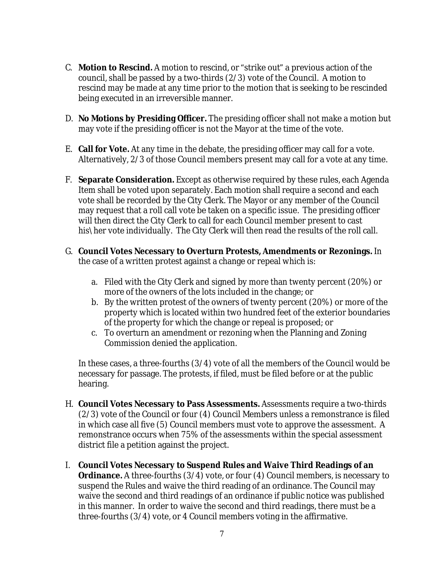- C. **Motion to Rescind.** A motion to rescind, or "strike out" a previous action of the council, shall be passed by a two-thirds (2/3) vote of the Council. A motion to rescind may be made at any time prior to the motion that is seeking to be rescinded being executed in an irreversible manner.
- D. **No Motions by Presiding Officer.** The presiding officer shall not make a motion but may vote if the presiding officer is not the Mayor at the time of the vote.
- E. **Call for Vote.** At any time in the debate, the presiding officer may call for a vote. Alternatively, 2/3 of those Council members present may call for a vote at any time.
- F. **Separate Consideration.** Except as otherwise required by these rules, each Agenda Item shall be voted upon separately. Each motion shall require a second and each vote shall be recorded by the City Clerk. The Mayor or any member of the Council may request that a roll call vote be taken on a specific issue. The presiding officer will then direct the City Clerk to call for each Council member present to cast his\her vote individually. The City Clerk will then read the results of the roll call.
- G. **Council Votes Necessary to Overturn Protests, Amendments or Rezonings.** In the case of a written protest against a change or repeal which is:
	- a. Filed with the City Clerk and signed by more than twenty percent (20%) or more of the owners of the lots included in the change; or
	- b. By the written protest of the owners of twenty percent (20%) or more of the property which is located within two hundred feet of the exterior boundaries of the property for which the change or repeal is proposed; or
	- c. To overturn an amendment or rezoning when the Planning and Zoning Commission denied the application.

In these cases, a three-fourths (3/4) vote of all the members of the Council would be necessary for passage. The protests, if filed, must be filed before or at the public hearing.

- H. **Council Votes Necessary to Pass Assessments.** Assessments require a two-thirds (2/3) vote of the Council or four (4) Council Members unless a remonstrance is filed in which case all five (5) Council members must vote to approve the assessment. A remonstrance occurs when 75% of the assessments within the special assessment district file a petition against the project.
- I. **Council Votes Necessary to Suspend Rules and Waive Third Readings of an Ordinance.** A three-fourths (3/4) vote, or four (4) Council members, is necessary to suspend the Rules and waive the third reading of an ordinance. The Council may waive the second and third readings of an ordinance if public notice was published in this manner. In order to waive the second and third readings, there must be a three-fourths (3/4) vote, or 4 Council members voting in the affirmative.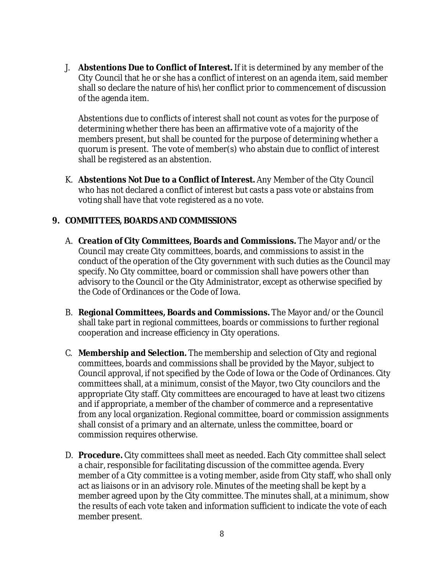J. **Abstentions Due to Conflict of Interest.** If it is determined by any member of the City Council that he or she has a conflict of interest on an agenda item, said member shall so declare the nature of his\her conflict prior to commencement of discussion of the agenda item.

Abstentions due to conflicts of interest shall not count as votes for the purpose of determining whether there has been an affirmative vote of a majority of the members present, but shall be counted for the purpose of determining whether a quorum is present. The vote of member(s) who abstain due to conflict of interest shall be registered as an abstention.

K. **Abstentions Not Due to a Conflict of Interest.** Any Member of the City Council who has not declared a conflict of interest but casts a pass vote or abstains from voting shall have that vote registered as a no vote.

#### **9. COMMITTEES, BOARDS AND COMMISSIONS**

- A. **Creation of City Committees, Boards and Commissions.** The Mayor and/or the Council may create City committees, boards, and commissions to assist in the conduct of the operation of the City government with such duties as the Council may specify. No City committee, board or commission shall have powers other than advisory to the Council or the City Administrator, except as otherwise specified by the Code of Ordinances or the Code of Iowa.
- B. **Regional Committees, Boards and Commissions.** The Mayor and/or the Council shall take part in regional committees, boards or commissions to further regional cooperation and increase efficiency in City operations.
- C. **Membership and Selection.** The membership and selection of City and regional committees, boards and commissions shall be provided by the Mayor, subject to Council approval, if not specified by the Code of Iowa or the Code of Ordinances. City committees shall, at a minimum, consist of the Mayor, two City councilors and the appropriate City staff. City committees are encouraged to have at least two citizens and if appropriate, a member of the chamber of commerce and a representative from any local organization. Regional committee, board or commission assignments shall consist of a primary and an alternate, unless the committee, board or commission requires otherwise.
- D. **Procedure.** City committees shall meet as needed. Each City committee shall select a chair, responsible for facilitating discussion of the committee agenda. Every member of a City committee is a voting member, aside from City staff, who shall only act as liaisons or in an advisory role. Minutes of the meeting shall be kept by a member agreed upon by the City committee. The minutes shall, at a minimum, show the results of each vote taken and information sufficient to indicate the vote of each member present.